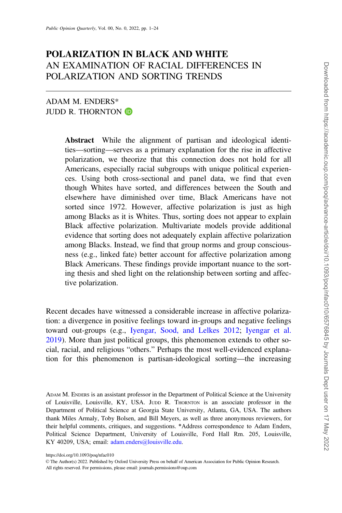# POLARIZATION IN BLACK AND WHITE AN EXAMINATION OF RACIAL DIFFERENCES IN POLARIZATION AND SORTING TRENDS

## ADAM M. ENDERS\* JUDD R. THORNTON **D**

Abstract While the alignment of partisan and ideological identities—sorting—serves as a primary explanation for the rise in affective polarization, we theorize that this connection does not hold for all Americans, especially racial subgroups with unique political experiences. Using both cross-sectional and panel data, we find that even though Whites have sorted, and differences between the South and elsewhere have diminished over time, Black Americans have not sorted since 1972. However, affective polarization is just as high among Blacks as it is Whites. Thus, sorting does not appear to explain Black affective polarization. Multivariate models provide additional evidence that sorting does not adequately explain affective polarization among Blacks. Instead, we find that group norms and group consciousness (e.g., linked fate) better account for affective polarization among Black Americans. These findings provide important nuance to the sorting thesis and shed light on the relationship between sorting and affective polarization.

Recent decades have witnessed a considerable increase in affective polarization: a divergence in positive feelings toward in-groups and negative feelings toward out-groups (e.g., [Iyengar, Sood, and Lelkes 2012](#page-22-0); [Iyengar et al.](#page-22-0) [2019](#page-22-0)). More than just political groups, this phenomenon extends to other social, racial, and religious "others." Perhaps the most well-evidenced explanation for this phenomenon is partisan-ideological sorting—the increasing

All rights reserved. For permissions, please email: journals.permissions@oup.com

ADAM M. ENDERS is an assistant professor in the Department of Political Science at the University of Louisville, Louisville, KY, USA. JUDD R. THORNTON is an associate professor in the Department of Political Science at Georgia State University, Atlanta, GA, USA. The authors thank Miles Armaly, Toby Bolsen, and Bill Meyers, as well as three anonymous reviewers, for their helpful comments, critiques, and suggestions. \*Address correspondence to Adam Enders, Political Science Department, University of Louisville, Ford Hall Rm. 205, Louisville, KY 40209, USA; email: [adam.enders@louisville.edu](mailto:adam.enders@louisville.edu).

https://doi.org/10.1093/poq/nfac010

V<sup>C</sup> The Author(s) 2022. Published by Oxford University Press on behalf of American Association for Public Opinion Research.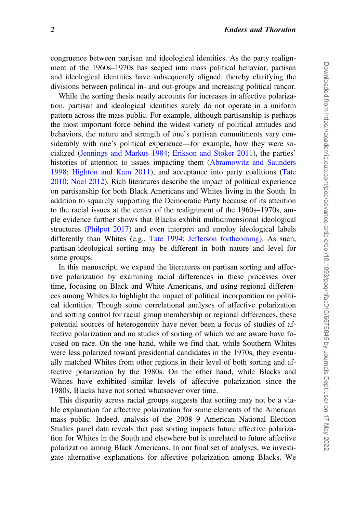congruence between partisan and ideological identities. As the party realignment of the 1960s–1970s has seeped into mass political behavior, partisan and ideological identities have subsequently aligned, thereby clarifying the divisions between political in- and out-groups and increasing political rancor.

While the sorting thesis neatly accounts for increases in affective polarization, partisan and ideological identities surely do not operate in a uniform pattern across the mass public. For example, although partisanship is perhaps the most important force behind the widest variety of political attitudes and behaviors, the nature and strength of one's partisan commitments vary considerably with one's political experience—for example, how they were socialized [\(Jennings and Markus 1984;](#page-22-0) [Erikson and Stoker 2011\)](#page-21-0), the parties' histories of attention to issues impacting them ([Abramowitz and Saunders](#page-20-0) [1998](#page-20-0); [Highton and Kam 2011](#page-21-0)), and acceptance into party coalitions [\(Tate](#page-23-0) [2010](#page-23-0); [Noel 2012\)](#page-22-0). Rich literatures describe the impact of political experience on partisanship for both Black Americans and Whites living in the South. In addition to squarely supporting the Democratic Party because of its attention to the racial issues at the center of the realignment of the 1960s–1970s, ample evidence further shows that Blacks exhibit multidimensional ideological structures ([Philpot 2017\)](#page-23-0) and even interpret and employ ideological labels differently than Whites (e.g., [Tate 1994;](#page-23-0) [Jefferson forthcoming\)](#page-22-0). As such, partisan-ideological sorting may be different in both nature and level for some groups.

In this manuscript, we expand the literatures on partisan sorting and affective polarization by examining racial differences in these processes over time, focusing on Black and White Americans, and using regional differences among Whites to highlight the impact of political incorporation on political identities. Though some correlational analyses of affective polarization and sorting control for racial group membership or regional differences, these potential sources of heterogeneity have never been a focus of studies of affective polarization and no studies of sorting of which we are aware have focused on race. On the one hand, while we find that, while Southern Whites were less polarized toward presidential candidates in the 1970s, they eventually matched Whites from other regions in their level of both sorting and affective polarization by the 1980s. On the other hand, while Blacks and Whites have exhibited similar levels of affective polarization since the 1980s, Blacks have not sorted whatsoever over time.

This disparity across racial groups suggests that sorting may not be a viable explanation for affective polarization for some elements of the American mass public. Indeed, analysis of the 2008–9 American National Election Studies panel data reveals that past sorting impacts future affective polarization for Whites in the South and elsewhere but is unrelated to future affective polarization among Black Americans. In our final set of analyses, we investigate alternative explanations for affective polarization among Blacks. We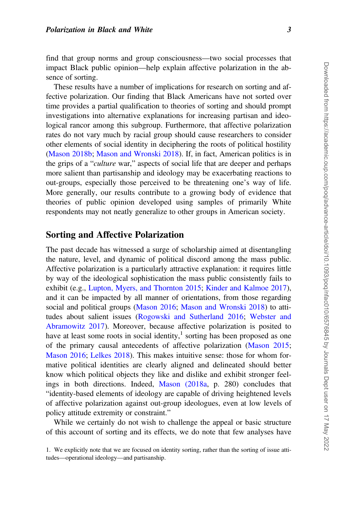find that group norms and group consciousness—two social processes that impact Black public opinion—help explain affective polarization in the absence of sorting.

These results have a number of implications for research on sorting and affective polarization. Our finding that Black Americans have not sorted over time provides a partial qualification to theories of sorting and should prompt investigations into alternative explanations for increasing partisan and ideological rancor among this subgroup. Furthermore, that affective polarization rates do not vary much by racial group should cause researchers to consider other elements of social identity in deciphering the roots of political hostility [\(Mason 2018b](#page-22-0); [Mason and Wronski 2018](#page-22-0)). If, in fact, American politics is in the grips of a "culture war," aspects of social life that are deeper and perhaps more salient than partisanship and ideology may be exacerbating reactions to out-groups, especially those perceived to be threatening one's way of life. More generally, our results contribute to a growing body of evidence that theories of public opinion developed using samples of primarily White respondents may not neatly generalize to other groups in American society.

## Sorting and Affective Polarization

The past decade has witnessed a surge of scholarship aimed at disentangling the nature, level, and dynamic of political discord among the mass public. Affective polarization is a particularly attractive explanation: it requires little by way of the ideological sophistication the mass public consistently fails to exhibit (e.g., [Lupton, Myers, and Thornton 2015](#page-22-0); [Kinder and Kalmoe 2017](#page-22-0)), and it can be impacted by all manner of orientations, from those regarding social and political groups ([Mason 2016](#page-22-0); [Mason and Wronski 2018](#page-22-0)) to attitudes about salient issues [\(Rogowski and Sutherland 2016;](#page-23-0) [Webster and](#page-23-0) [Abramowitz 2017](#page-23-0)). Moreover, because affective polarization is posited to have at least some roots in social identity, $\frac{1}{1}$  sorting has been proposed as one of the primary causal antecedents of affective polarization [\(Mason 2015](#page-22-0); [Mason 2016](#page-22-0); [Lelkes 2018](#page-22-0)). This makes intuitive sense: those for whom formative political identities are clearly aligned and delineated should better know which political objects they like and dislike and exhibit stronger feelings in both directions. Indeed, [Mason \(2018a](#page-22-0), p. 280) concludes that "identity-based elements of ideology are capable of driving heightened levels of affective polarization against out-group ideologues, even at low levels of policy attitude extremity or constraint."

While we certainly do not wish to challenge the appeal or basic structure of this account of sorting and its effects, we do note that few analyses have

<sup>1.</sup> We explicitly note that we are focused on identity sorting, rather than the sorting of issue attitudes—operational ideology—and partisanship.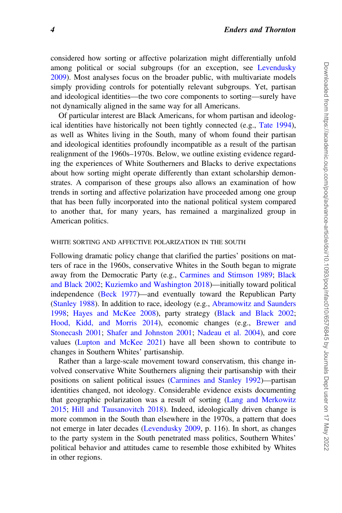considered how sorting or affective polarization might differentially unfold among political or social subgroups (for an exception, see [Levendusky](#page-22-0) [2009](#page-22-0)). Most analyses focus on the broader public, with multivariate models simply providing controls for potentially relevant subgroups. Yet, partisan and ideological identities—the two core components to sorting—surely have not dynamically aligned in the same way for all Americans.

Of particular interest are Black Americans, for whom partisan and ideological identities have historically not been tightly connected (e.g., [Tate 1994](#page-23-0)), as well as Whites living in the South, many of whom found their partisan and ideological identities profoundly incompatible as a result of the partisan realignment of the 1960s–1970s. Below, we outline existing evidence regarding the experiences of White Southerners and Blacks to derive expectations about how sorting might operate differently than extant scholarship demonstrates. A comparison of these groups also allows an examination of how trends in sorting and affective polarization have proceeded among one group that has been fully incorporated into the national political system compared to another that, for many years, has remained a marginalized group in American politics.

#### WHITE SORTING AND AFFECTIVE POLARIZATION IN THE SOUTH

Following dramatic policy change that clarified the parties' positions on matters of race in the 1960s, conservative Whites in the South began to migrate away from the Democratic Party (e.g., [Carmines and Stimson 1989](#page-21-0); [Black](#page-21-0) [and Black 2002](#page-21-0); [Kuziemko and Washington 2018\)](#page-22-0)—initially toward political independence [\(Beck 1977\)](#page-20-0)—and eventually toward the Republican Party [\(Stanley 1988\)](#page-23-0). In addition to race, ideology (e.g., [Abramowitz and Saunders](#page-20-0) [1998](#page-20-0); [Hayes and McKee 2008](#page-21-0)), party strategy [\(Black and Black 2002](#page-21-0); [Hood, Kidd, and Morris 2014\)](#page-22-0), economic changes (e.g., [Brewer and](#page-21-0) [Stonecash 2001](#page-21-0); [Shafer and Johnston 2001;](#page-23-0) [Nadeau et al. 2004\)](#page-22-0), and core values ([Lupton and McKee 2021\)](#page-22-0) have all been shown to contribute to changes in Southern Whites' partisanship.

Rather than a large-scale movement toward conservatism, this change involved conservative White Southerners aligning their partisanship with their positions on salient political issues [\(Carmines and Stanley 1992](#page-21-0))—partisan identities changed, not ideology. Considerable evidence exists documenting that geographic polarization was a result of sorting ([Lang and Merkowitz](#page-22-0) [2015](#page-22-0); [Hill and Tausanovitch 2018](#page-22-0)). Indeed, ideologically driven change is more common in the South than elsewhere in the 1970s, a pattern that does not emerge in later decades [\(Levendusky 2009](#page-22-0), p. 116). In short, as changes to the party system in the South penetrated mass politics, Southern Whites' political behavior and attitudes came to resemble those exhibited by Whites in other regions.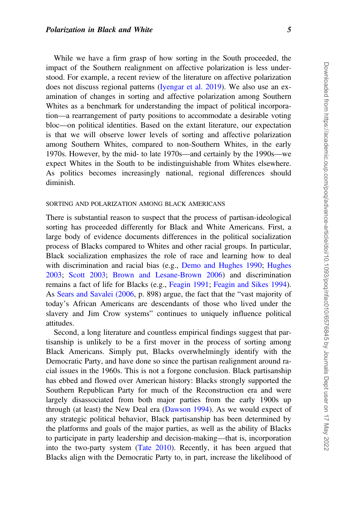While we have a firm grasp of how sorting in the South proceeded, the impact of the Southern realignment on affective polarization is less understood. For example, a recent review of the literature on affective polarization does not discuss regional patterns [\(Iyengar et al. 2019\)](#page-22-0). We also use an examination of changes in sorting and affective polarization among Southern Whites as a benchmark for understanding the impact of political incorporation—a rearrangement of party positions to accommodate a desirable voting bloc—on political identities. Based on the extant literature, our expectation is that we will observe lower levels of sorting and affective polarization among Southern Whites, compared to non-Southern Whites, in the early 1970s. However, by the mid- to late 1970s—and certainly by the 1990s—we expect Whites in the South to be indistinguishable from Whites elsewhere. As politics becomes increasingly national, regional differences should diminish.

#### SORTING AND POLARIZATION AMONG BLACK AMERICANS

There is substantial reason to suspect that the process of partisan-ideological sorting has proceeded differently for Black and White Americans. First, a large body of evidence documents differences in the political socialization process of Blacks compared to Whites and other racial groups. In particular, Black socialization emphasizes the role of race and learning how to deal with discrimination and racial bias (e.g., [Demo and Hughes 1990;](#page-21-0) [Hughes](#page-22-0) [2003](#page-22-0); [Scott 2003](#page-23-0); [Brown and Lesane-Brown 2006\)](#page-21-0) and discrimination remains a fact of life for Blacks (e.g., [Feagin 1991;](#page-21-0) [Feagin and Sikes 1994](#page-21-0)). As [Sears and Savalei \(2006](#page-23-0), p. 898) argue, the fact that the "vast majority of today's African Americans are descendants of those who lived under the slavery and Jim Crow systems" continues to uniquely influence political attitudes.

Second, a long literature and countless empirical findings suggest that partisanship is unlikely to be a first mover in the process of sorting among Black Americans. Simply put, Blacks overwhelmingly identify with the Democratic Party, and have done so since the partisan realignment around racial issues in the 1960s. This is not a forgone conclusion. Black partisanship has ebbed and flowed over American history: Blacks strongly supported the Southern Republican Party for much of the Reconstruction era and were largely disassociated from both major parties from the early 1900s up through (at least) the New Deal era [\(Dawson 1994](#page-21-0)). As we would expect of any strategic political behavior, Black partisanship has been determined by the platforms and goals of the major parties, as well as the ability of Blacks to participate in party leadership and decision-making—that is, incorporation into the two-party system [\(Tate 2010](#page-23-0)). Recently, it has been argued that Blacks align with the Democratic Party to, in part, increase the likelihood of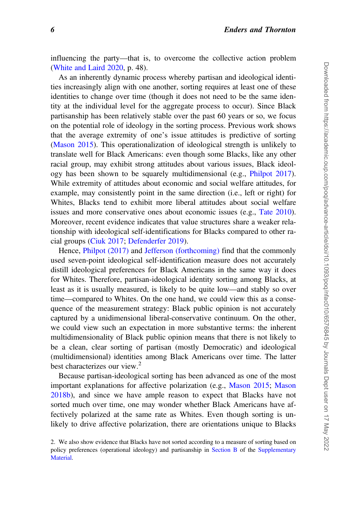influencing the party—that is, to overcome the collective action problem [\(White and Laird 2020,](#page-23-0) p. 48).

As an inherently dynamic process whereby partisan and ideological identities increasingly align with one another, sorting requires at least one of these identities to change over time (though it does not need to be the same identity at the individual level for the aggregate process to occur). Since Black partisanship has been relatively stable over the past 60 years or so, we focus on the potential role of ideology in the sorting process. Previous work shows that the average extremity of one's issue attitudes is predictive of sorting [\(Mason 2015](#page-22-0)). This operationalization of ideological strength is unlikely to translate well for Black Americans: even though some Blacks, like any other racial group, may exhibit strong attitudes about various issues, Black ideology has been shown to be squarely multidimensional (e.g., [Philpot 2017](#page-23-0)). While extremity of attitudes about economic and social welfare attitudes, for example, may consistently point in the same direction (i.e., left or right) for Whites, Blacks tend to exhibit more liberal attitudes about social welfare issues and more conservative ones about economic issues (e.g., [Tate 2010](#page-23-0)). Moreover, recent evidence indicates that value structures share a weaker relationship with ideological self-identifications for Blacks compared to other racial groups [\(Ciuk 2017](#page-21-0); [Defenderfer 2019](#page-21-0)).

Hence, [Philpot \(2017\)](#page-23-0) and [Jefferson \(forthcoming\)](#page-22-0) find that the commonly used seven-point ideological self-identification measure does not accurately distill ideological preferences for Black Americans in the same way it does for Whites. Therefore, partisan-ideological identity sorting among Blacks, at least as it is usually measured, is likely to be quite low—and stably so over time—compared to Whites. On the one hand, we could view this as a consequence of the measurement strategy: Black public opinion is not accurately captured by a unidimensional liberal-conservative continuum. On the other, we could view such an expectation in more substantive terms: the inherent multidimensionality of Black public opinion means that there is not likely to be a clean, clear sorting of partisan (mostly Democratic) and ideological (multidimensional) identities among Black Americans over time. The latter best characterizes our view. $<sup>2</sup>$ </sup>

Because partisan-ideological sorting has been advanced as one of the most important explanations for affective polarization (e.g., [Mason 2015](#page-22-0); [Mason](#page-22-0) [2018b](#page-22-0)), and since we have ample reason to expect that Blacks have not sorted much over time, one may wonder whether Black Americans have affectively polarized at the same rate as Whites. Even though sorting is unlikely to drive affective polarization, there are orientations unique to Blacks

<sup>2.</sup> We also show evidence that Blacks have not sorted according to a measure of sorting based on policy preferences (operational ideology) and partisanship in [Section B](https://academic.oup.com/poq/article-lookup/doi/10.1093/poq/nfac010#supplementary-data) of the [Supplementary](https://academic.oup.com/poq/article-lookup/doi/10.1093/poq/nfac010#supplementary-data) [Material.](https://academic.oup.com/poq/article-lookup/doi/10.1093/poq/nfac010#supplementary-data)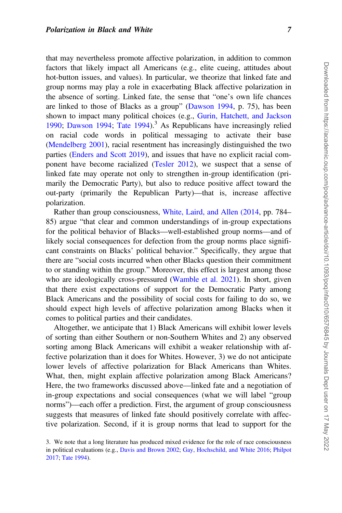that may nevertheless promote affective polarization, in addition to common factors that likely impact all Americans (e.g., elite cueing, attitudes about hot-button issues, and values). In particular, we theorize that linked fate and group norms may play a role in exacerbating Black affective polarization in the absence of sorting. Linked fate, the sense that "one's own life chances are linked to those of Blacks as a group" ([Dawson 1994](#page-21-0), p. 75), has been shown to impact many political choices (e.g., [Gurin, Hatchett, and Jackson](#page-21-0) [1990](#page-21-0); [Dawson 1994](#page-21-0); Tate  $1994$ ).<sup>3</sup> As Republicans have increasingly relied on racial code words in political messaging to activate their base [\(Mendelberg 2001](#page-22-0)), racial resentment has increasingly distinguished the two parties ([Enders and Scott 2019\)](#page-21-0), and issues that have no explicit racial component have become racialized [\(Tesler 2012](#page-23-0)), we suspect that a sense of linked fate may operate not only to strengthen in-group identification (primarily the Democratic Party), but also to reduce positive affect toward the out-party (primarily the Republican Party)—that is, increase affective polarization.

Rather than group consciousness, [White, Laird, and Allen \(2014](#page-23-0), pp. 784– 85) argue "that clear and common understandings of in-group expectations for the political behavior of Blacks—well-established group norms—and of likely social consequences for defection from the group norms place significant constraints on Blacks' political behavior." Specifically, they argue that there are "social costs incurred when other Blacks question their commitment to or standing within the group." Moreover, this effect is largest among those who are ideologically cross-pressured ([Wamble et al. 2021\)](#page-23-0). In short, given that there exist expectations of support for the Democratic Party among Black Americans and the possibility of social costs for failing to do so, we should expect high levels of affective polarization among Blacks when it comes to political parties and their candidates.

Altogether, we anticipate that 1) Black Americans will exhibit lower levels of sorting than either Southern or non-Southern Whites and 2) any observed sorting among Black Americans will exhibit a weaker relationship with affective polarization than it does for Whites. However, 3) we do not anticipate lower levels of affective polarization for Black Americans than Whites. What, then, might explain affective polarization among Black Americans? Here, the two frameworks discussed above—linked fate and a negotiation of in-group expectations and social consequences (what we will label "group norms")—each offer a prediction. First, the argument of group consciousness suggests that measures of linked fate should positively correlate with affective polarization. Second, if it is group norms that lead to support for the

<sup>3.</sup> We note that a long literature has produced mixed evidence for the role of race consciousness in political evaluations (e.g., [Davis and Brown 2002](#page-21-0); [Gay, Hochschild, and White 2016;](#page-21-0) [Philpot](#page-23-0) [2017;](#page-23-0) [Tate 1994](#page-23-0)).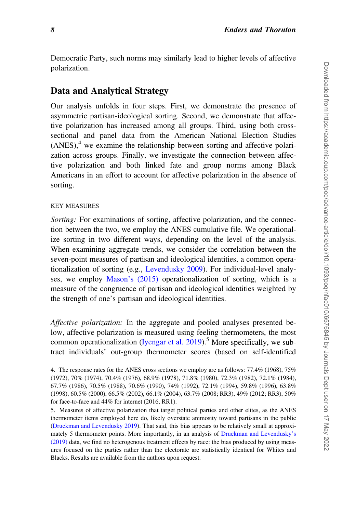Democratic Party, such norms may similarly lead to higher levels of affective polarization.

# Data and Analytical Strategy

Our analysis unfolds in four steps. First, we demonstrate the presence of asymmetric partisan-ideological sorting. Second, we demonstrate that affective polarization has increased among all groups. Third, using both crosssectional and panel data from the American National Election Studies  $(ANES)$ ,<sup>4</sup> we examine the relationship between sorting and affective polarization across groups. Finally, we investigate the connection between affective polarization and both linked fate and group norms among Black Americans in an effort to account for affective polarization in the absence of sorting.

## KEY MEASURES

Sorting: For examinations of sorting, affective polarization, and the connection between the two, we employ the ANES cumulative file. We operationalize sorting in two different ways, depending on the level of the analysis. When examining aggregate trends, we consider the correlation between the seven-point measures of partisan and ideological identities, a common operationalization of sorting (e.g., [Levendusky 2009](#page-22-0)). For individual-level analyses, we employ [Mason's \(2015\)](#page-22-0) operationalization of sorting, which is a measure of the congruence of partisan and ideological identities weighted by the strength of one's partisan and ideological identities.

Affective polarization: In the aggregate and pooled analyses presented below, affective polarization is measured using feeling thermometers, the most common operationalization (Iyengar et al.  $2019$ ).<sup>5</sup> More specifically, we subtract individuals' out-group thermometer scores (based on self-identified

<sup>4.</sup> The response rates for the ANES cross sections we employ are as follows: 77.4% (1968), 75% (1972), 70% (1974), 70.4% (1976), 68.9% (1978), 71.8% (1980), 72.3% (1982), 72.1% (1984), 67.7% (1986), 70.5% (1988), 70.6% (1990), 74% (1992), 72.1% (1994), 59.8% (1996), 63.8% (1998), 60.5% (2000), 66.5% (2002), 66.1% (2004), 63.7% (2008; RR3), 49% (2012; RR3), 50% for face-to-face and 44% for internet (2016, RR1).

<sup>5.</sup> Measures of affective polarization that target political parties and other elites, as the ANES thermometer items employed here do, likely overstate animosity toward partisans in the public ([Druckman and Levendusky 2019](#page-21-0)). That said, this bias appears to be relatively small at approximately 5 thermometer points. More importantly, in an analysis of [Druckman and Levendusky's](#page-21-0) [\(2019\)](#page-21-0) data, we find no heterogenous treatment effects by race: the bias produced by using measures focused on the parties rather than the electorate are statistically identical for Whites and Blacks. Results are available from the authors upon request.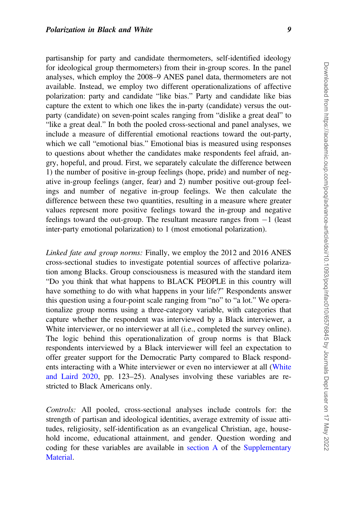partisanship for party and candidate thermometers, self-identified ideology for ideological group thermometers) from their in-group scores. In the panel analyses, which employ the 2008–9 ANES panel data, thermometers are not available. Instead, we employ two different operationalizations of affective polarization: party and candidate "like bias." Party and candidate like bias capture the extent to which one likes the in-party (candidate) versus the outparty (candidate) on seven-point scales ranging from "dislike a great deal" to "like a great deal." In both the pooled cross-sectional and panel analyses, we include a measure of differential emotional reactions toward the out-party, which we call "emotional bias." Emotional bias is measured using responses to questions about whether the candidates make respondents feel afraid, angry, hopeful, and proud. First, we separately calculate the difference between 1) the number of positive in-group feelings (hope, pride) and number of negative in-group feelings (anger, fear) and 2) number positive out-group feelings and number of negative in-group feelings. We then calculate the difference between these two quantities, resulting in a measure where greater values represent more positive feelings toward the in-group and negative feelings toward the out-group. The resultant measure ranges from  $-1$  (least inter-party emotional polarization) to 1 (most emotional polarization).

Linked fate and group norms: Finally, we employ the 2012 and 2016 ANES cross-sectional studies to investigate potential sources of affective polarization among Blacks. Group consciousness is measured with the standard item "Do you think that what happens to BLACK PEOPLE in this country will have something to do with what happens in your life?" Respondents answer this question using a four-point scale ranging from "no" to "a lot." We operationalize group norms using a three-category variable, with categories that capture whether the respondent was interviewed by a Black interviewer, a White interviewer, or no interviewer at all (i.e., completed the survey online). The logic behind this operationalization of group norms is that Black respondents interviewed by a Black interviewer will feel an expectation to offer greater support for the Democratic Party compared to Black respondents interacting with a White interviewer or even no interviewer at all ([White](#page-23-0) [and Laird 2020,](#page-23-0) pp. 123–25). Analyses involving these variables are restricted to Black Americans only.

Controls: All pooled, cross-sectional analyses include controls for: the strength of partisan and ideological identities, average extremity of issue attitudes, religiosity, self-identification as an evangelical Christian, age, household income, educational attainment, and gender. Question wording and coding for these variables are available in [section A](https://academic.oup.com/poq/article-lookup/doi/10.1093/poq/nfac010#supplementary-data) of the [Supplementary](https://academic.oup.com/poq/article-lookup/doi/10.1093/poq/nfac010#supplementary-data) [Material](https://academic.oup.com/poq/article-lookup/doi/10.1093/poq/nfac010#supplementary-data).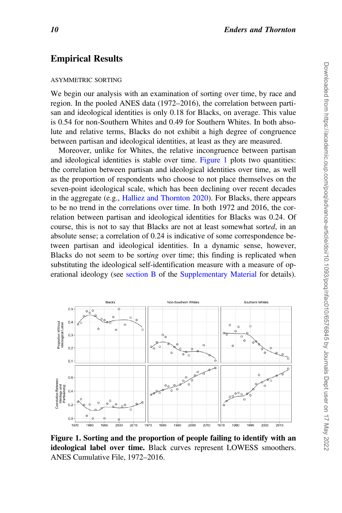## Empirical Results

#### ASYMMETRIC SORTING

We begin our analysis with an examination of sorting over time, by race and region. In the pooled ANES data (1972–2016), the correlation between partisan and ideological identities is only 0.18 for Blacks, on average. This value is 0.54 for non-Southern Whites and 0.49 for Southern Whites. In both absolute and relative terms, Blacks do not exhibit a high degree of congruence between partisan and ideological identities, at least as they are measured.

Moreover, unlike for Whites, the relative incongruence between partisan and ideological identities is stable over time. Figure 1 plots two quantities: the correlation between partisan and ideological identities over time, as well as the proportion of respondents who choose to not place themselves on the seven-point ideological scale, which has been declining over recent decades in the aggregate (e.g., [Halliez and Thornton 2020](#page-21-0)). For Blacks, there appears to be no trend in the correlations over time. In both 1972 and 2016, the correlation between partisan and ideological identities for Blacks was 0.24. Of course, this is not to say that Blacks are not at least somewhat sorted, in an absolute sense; a correlation of 0.24 is indicative of some correspondence between partisan and ideological identities. In a dynamic sense, however, Blacks do not seem to be sorting over time; this finding is replicated when substituting the ideological self-identification measure with a measure of operational ideology (see [section B](https://academic.oup.com/poq/article-lookup/doi/10.1093/poq/nfac010#supplementary-data) of the [Supplementary Material](https://academic.oup.com/poq/article-lookup/doi/10.1093/poq/nfac010#supplementary-data) for details).



Figure 1. Sorting and the proportion of people failing to identify with an ideological label over time. Black curves represent LOWESS smoothers. ANES Cumulative File, 1972–2016.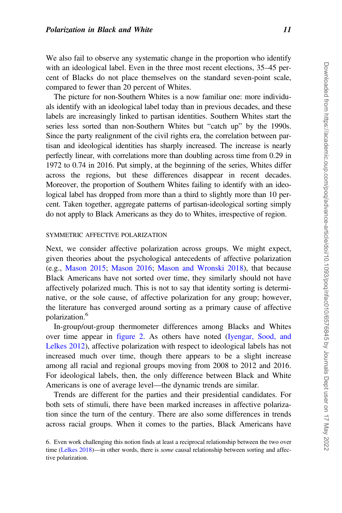We also fail to observe any systematic change in the proportion who identify with an ideological label. Even in the three most recent elections, 35–45 percent of Blacks do not place themselves on the standard seven-point scale, compared to fewer than 20 percent of Whites.

The picture for non-Southern Whites is a now familiar one: more individuals identify with an ideological label today than in previous decades, and these labels are increasingly linked to partisan identities. Southern Whites start the series less sorted than non-Southern Whites but "catch up" by the 1990s. Since the party realignment of the civil rights era, the correlation between partisan and ideological identities has sharply increased. The increase is nearly perfectly linear, with correlations more than doubling across time from 0.29 in 1972 to 0.74 in 2016. Put simply, at the beginning of the series, Whites differ across the regions, but these differences disappear in recent decades. Moreover, the proportion of Southern Whites failing to identify with an ideological label has dropped from more than a third to slightly more than 10 percent. Taken together, aggregate patterns of partisan-ideological sorting simply do not apply to Black Americans as they do to Whites, irrespective of region.

#### SYMMETRIC AFFECTIVE POLARIZATION

Next, we consider affective polarization across groups. We might expect, given theories about the psychological antecedents of affective polarization (e.g., [Mason 2015;](#page-22-0) [Mason 2016](#page-22-0); [Mason and Wronski 2018\)](#page-22-0), that because Black Americans have not sorted over time, they similarly should not have affectively polarized much. This is not to say that identity sorting is determinative, or the sole cause, of affective polarization for any group; however, the literature has converged around sorting as a primary cause of affective polarization.6

In-group/out-group thermometer differences among Blacks and Whites over time appear in [figure 2.](#page-11-0) As others have noted ([Iyengar, Sood, and](#page-22-0) [Lelkes 2012](#page-22-0)), affective polarization with respect to ideological labels has not increased much over time, though there appears to be a slight increase among all racial and regional groups moving from 2008 to 2012 and 2016. For ideological labels, then, the only difference between Black and White Americans is one of average level—the dynamic trends are similar.

Trends are different for the parties and their presidential candidates. For both sets of stimuli, there have been marked increases in affective polarization since the turn of the century. There are also some differences in trends across racial groups. When it comes to the parties, Black Americans have

<sup>6.</sup> Even work challenging this notion finds at least a reciprocal relationship between the two over time ([Lelkes 2018](#page-22-0))—in other words, there is *some* causal relationship between sorting and affective polarization.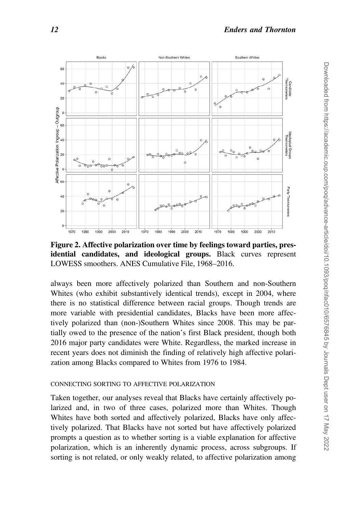<span id="page-11-0"></span>

Figure 2. Affective polarization over time by feelings toward parties, presidential candidates, and ideological groups. Black curves represent LOWESS smoothers. ANES Cumulative File, 1968–2016.

always been more affectively polarized than Southern and non-Southern Whites (who exhibit substantively identical trends), except in 2004, where there is no statistical difference between racial groups. Though trends are more variable with presidential candidates, Blacks have been more affectively polarized than (non-)Southern Whites since 2008. This may be partially owed to the presence of the nation's first Black president, though both 2016 major party candidates were White. Regardless, the marked increase in recent years does not diminish the finding of relatively high affective polarization among Blacks compared to Whites from 1976 to 1984.

#### CONNECTING SORTING TO AFFECTIVE POLARIZATION

Taken together, our analyses reveal that Blacks have certainly affectively polarized and, in two of three cases, polarized more than Whites. Though Whites have both sorted and affectively polarized, Blacks have only affectively polarized. That Blacks have not sorted but have affectively polarized prompts a question as to whether sorting is a viable explanation for affective polarization, which is an inherently dynamic process, across subgroups. If sorting is not related, or only weakly related, to affective polarization among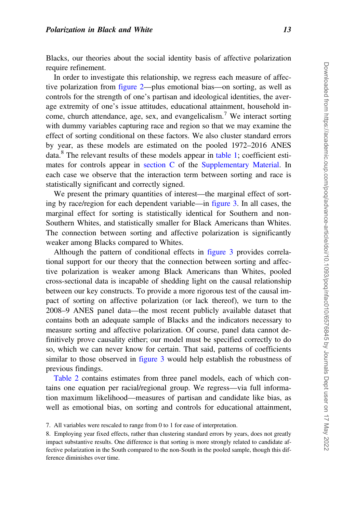Blacks, our theories about the social identity basis of affective polarization require refinement.

In order to investigate this relationship, we regress each measure of affective polarization from [figure 2—](#page-11-0)plus emotional bias—on sorting, as well as controls for the strength of one's partisan and ideological identities, the average extremity of one's issue attitudes, educational attainment, household income, church attendance, age, sex, and evangelicalism.<sup>7</sup> We interact sorting with dummy variables capturing race and region so that we may examine the effect of sorting conditional on these factors. We also cluster standard errors by year, as these models are estimated on the pooled 1972–2016 ANES data.<sup>8</sup> The relevant results of these models appear in [table 1](#page-13-0); coefficient estimates for controls appear in [section C](https://academic.oup.com/poq/article-lookup/doi/10.1093/poq/nfac010#supplementary-data) of the [Supplementary Material.](https://academic.oup.com/poq/article-lookup/doi/10.1093/poq/nfac010#supplementary-data) In each case we observe that the interaction term between sorting and race is statistically significant and correctly signed.

We present the primary quantities of interest—the marginal effect of sorting by race/region for each dependent variable—in [figure 3](#page-14-0). In all cases, the marginal effect for sorting is statistically identical for Southern and non-Southern Whites, and statistically smaller for Black Americans than Whites. The connection between sorting and affective polarization is significantly weaker among Blacks compared to Whites.

Although the pattern of conditional effects in [figure 3](#page-14-0) provides correlational support for our theory that the connection between sorting and affective polarization is weaker among Black Americans than Whites, pooled cross-sectional data is incapable of shedding light on the causal relationship between our key constructs. To provide a more rigorous test of the causal impact of sorting on affective polarization (or lack thereof), we turn to the 2008–9 ANES panel data—the most recent publicly available dataset that contains both an adequate sample of Blacks and the indicators necessary to measure sorting and affective polarization. Of course, panel data cannot definitively prove causality either; our model must be specified correctly to do so, which we can never know for certain. That said, patterns of coefficients similar to those observed in [figure 3](#page-14-0) would help establish the robustness of previous findings.

[Table 2](#page-15-0) contains estimates from three panel models, each of which contains one equation per racial/regional group. We regress—via full information maximum likelihood—measures of partisan and candidate like bias, as well as emotional bias, on sorting and controls for educational attainment,

<sup>7.</sup> All variables were rescaled to range from 0 to 1 for ease of interpretation.

<sup>8.</sup> Employing year fixed effects, rather than clustering standard errors by years, does not greatly impact substantive results. One difference is that sorting is more strongly related to candidate affective polarization in the South compared to the non-South in the pooled sample, though this difference diminishes over time.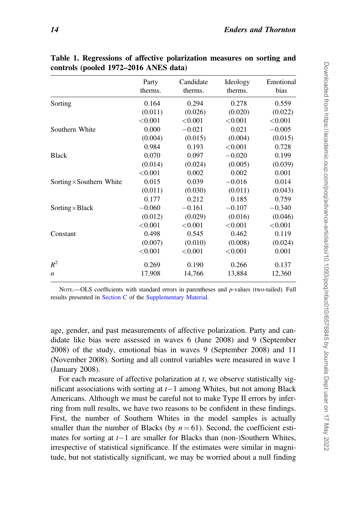|                                 | Party<br>therms. | Candidate<br>therms. | Ideology<br>therms. | Emotional<br>bias |
|---------------------------------|------------------|----------------------|---------------------|-------------------|
| Sorting                         | 0.164            | 0.294                | 0.278               | 0.559             |
|                                 | (0.011)          | (0.026)              | (0.020)             | (0.022)           |
|                                 | < 0.001          | < 0.001              | < 0.001             | < 0.001           |
| Southern White                  | 0.000            | $-0.021$             | 0.021               | $-0.005$          |
|                                 | (0.004)          | (0.015)              | (0.004)             | (0.015)           |
|                                 | 0.984            | 0.193                | < 0.001             | 0.728             |
| <b>Black</b>                    | 0.070            | 0.097                | $-0.020$            | 0.199             |
|                                 | (0.014)          | (0.024)              | (0.005)             | (0.039)           |
|                                 | < 0.001          | 0.002                | 0.002               | 0.001             |
| Sorting $\times$ Southern White | 0.015            | 0.039                | $-0.016$            | 0.014             |
|                                 | (0.011)          | (0.030)              | (0.011)             | (0.043)           |
|                                 | 0.177            | 0.212                | 0.185               | 0.759             |
| Sorting $\times$ Black          | $-0.060$         | $-0.161$             | $-0.107$            | $-0.340$          |
|                                 | (0.012)          | (0.029)              | (0.016)             | (0.046)           |
|                                 | < 0.001          | < 0.001              | < 0.001             | < 0.001           |
| Constant                        | 0.498            | 0.545                | 0.462               | 0.119             |
|                                 | (0.007)          | (0.010)              | (0.008)             | (0.024)           |
|                                 | < 0.001          | < 0.001              | < 0.001             | 0.001             |
| $R^2$                           | 0.269            | 0.190                | 0.266               | 0.137             |
| $\boldsymbol{n}$                | 17,908           | 14,766               | 13,884              | 12,360            |

<span id="page-13-0"></span>Table 1. Regressions of affective polarization measures on sorting and controls (pooled 1972–2016 ANES data)

NOTE.—OLS coefficients with standard errors in parentheses and p-values (two-tailed). Full results presented in [Section C](https://academic.oup.com/poq/article-lookup/doi/10.1093/poq/nfac010#supplementary-data) of the [Supplementary Material.](https://academic.oup.com/poq/article-lookup/doi/10.1093/poq/nfac010#supplementary-data)

age, gender, and past measurements of affective polarization. Party and candidate like bias were assessed in waves 6 (June 2008) and 9 (September 2008) of the study, emotional bias in waves 9 (September 2008) and 11 (November 2008). Sorting and all control variables were measured in wave 1 (January 2008).

For each measure of affective polarization at  $t$ , we observe statistically significant associations with sorting at  $t-1$  among Whites, but not among Black Americans. Although we must be careful not to make Type II errors by inferring from null results, we have two reasons to be confident in these findings. First, the number of Southern Whites in the model samples is actually smaller than the number of Blacks (by  $n = 61$ ). Second, the coefficient estimates for sorting at  $t-1$  are smaller for Blacks than (non-)Southern Whites, irrespective of statistical significance. If the estimates were similar in magnitude, but not statistically significant, we may be worried about a null finding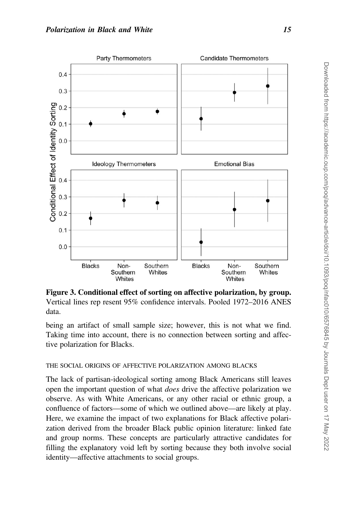<span id="page-14-0"></span>

Figure 3. Conditional effect of sorting on affective polarization, by group. Vertical lines rep resent 95% confidence intervals. Pooled 1972–2016 ANES data.

being an artifact of small sample size; however, this is not what we find. Taking time into account, there is no connection between sorting and affective polarization for Blacks.

## THE SOCIAL ORIGINS OF AFFECTIVE POLARIZATION AMONG BLACKS

The lack of partisan-ideological sorting among Black Americans still leaves open the important question of what does drive the affective polarization we observe. As with White Americans, or any other racial or ethnic group, a confluence of factors—some of which we outlined above—are likely at play. Here, we examine the impact of two explanations for Black affective polarization derived from the broader Black public opinion literature: linked fate and group norms. These concepts are particularly attractive candidates for filling the explanatory void left by sorting because they both involve social identity—affective attachments to social groups.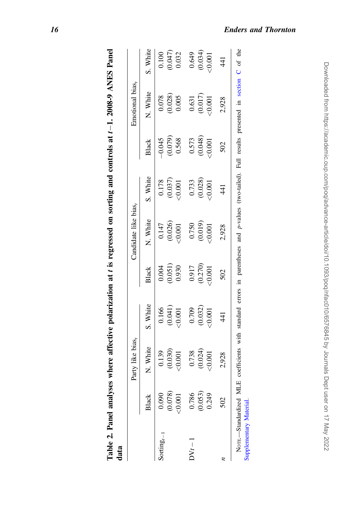|                        |                    | Party like bias,                                                     |                                                            |                                                         | Candidate like bias,                                       |                                                                    |                                   | Emotional bias,                                                                                                                              |                                                           |
|------------------------|--------------------|----------------------------------------------------------------------|------------------------------------------------------------|---------------------------------------------------------|------------------------------------------------------------|--------------------------------------------------------------------|-----------------------------------|----------------------------------------------------------------------------------------------------------------------------------------------|-----------------------------------------------------------|
|                        | άŚ                 | N. White                                                             | S. White                                                   | Black                                                   | N. White                                                   | S. White                                                           | Black                             | N. White                                                                                                                                     | S. White                                                  |
|                        | $\overline{60}$    |                                                                      |                                                            |                                                         |                                                            |                                                                    |                                   |                                                                                                                                              |                                                           |
|                        | 078)<br>001        |                                                                      |                                                            |                                                         |                                                            |                                                                    |                                   |                                                                                                                                              |                                                           |
|                        |                    | $\begin{array}{c} 0.139 \\ (0.030) \\ \hline 0.0001 \end{array}$     | $\begin{array}{c} 0.166 \\ (0.041) \\ < 0.001 \end{array}$ | $\begin{array}{c} 0.004 \\ 0.051) \\ 0.930 \end{array}$ | $\begin{array}{c} 0.147 \\ (0.026) \\ -0.001 \end{array}$  | $\begin{array}{c} 0.178 \\ (0.037) \\ \textrm{<}0.001 \end{array}$ | $\frac{-0.045}{(0.079)}$<br>0.568 | $\begin{array}{c} 0.078 \\ 0.028) \\ 0.005 \end{array}$                                                                                      | $\begin{array}{c} 0.100 \\ 0.047) \\ 0.032 \end{array}$   |
| $DVt-1$                | 0.786              |                                                                      |                                                            |                                                         |                                                            |                                                                    |                                   |                                                                                                                                              |                                                           |
|                        | $(0.053)$<br>0.249 | $\begin{array}{c} 0.738 \\ 0.024) \\ (-6.024) \\ -0.001 \end{array}$ | $\begin{array}{c} 0.709 \\ 0.032) \\ 0.001 \end{array}$    | $\frac{0.917}{(0.270)}$<br>(0.270)                      | $\begin{array}{c} 0.750 \\ (0.019) \\ (0.001) \end{array}$ | $\begin{array}{c} 0.733 \\ 0.028) \\ -0.001 \end{array}$           | $\frac{0.573}{(0.048)}$           | $\begin{array}{c} 0.631 \\ 0.017) \\ -0.001 \end{array}$                                                                                     | $\begin{array}{c} 0.649 \\ (0.034) \\ (0.001 \end{array}$ |
|                        |                    |                                                                      |                                                            |                                                         |                                                            |                                                                    |                                   |                                                                                                                                              |                                                           |
|                        | 502                | 2,928                                                                | $\frac{41}{3}$                                             | 502                                                     | 2,928                                                      | $\frac{4}{1}$                                                      | 502                               | 2,928                                                                                                                                        | 441                                                       |
| Supplementary Material |                    |                                                                      |                                                            |                                                         |                                                            |                                                                    |                                   | NorE—Standardized MLE coefficients with standard errors in parentheses and p-values (two-tailed). Full results presented in section C of the |                                                           |

| l                                                                                                                                                                                                                              |        |
|--------------------------------------------------------------------------------------------------------------------------------------------------------------------------------------------------------------------------------|--------|
| l<br>l                                                                                                                                                                                                                         |        |
|                                                                                                                                                                                                                                |        |
| i                                                                                                                                                                                                                              |        |
|                                                                                                                                                                                                                                |        |
|                                                                                                                                                                                                                                |        |
|                                                                                                                                                                                                                                |        |
|                                                                                                                                                                                                                                |        |
| ١                                                                                                                                                                                                                              |        |
| in the contract of the contract of the contract of the contract of the contract of the contract of the contract of the contract of the contract of the contract of the contract of the contract of the contract of the contrac |        |
|                                                                                                                                                                                                                                |        |
|                                                                                                                                                                                                                                |        |
|                                                                                                                                                                                                                                |        |
|                                                                                                                                                                                                                                |        |
|                                                                                                                                                                                                                                |        |
|                                                                                                                                                                                                                                |        |
|                                                                                                                                                                                                                                |        |
|                                                                                                                                                                                                                                |        |
|                                                                                                                                                                                                                                |        |
|                                                                                                                                                                                                                                |        |
|                                                                                                                                                                                                                                |        |
| ı                                                                                                                                                                                                                              |        |
|                                                                                                                                                                                                                                |        |
|                                                                                                                                                                                                                                |        |
|                                                                                                                                                                                                                                |        |
|                                                                                                                                                                                                                                |        |
|                                                                                                                                                                                                                                |        |
|                                                                                                                                                                                                                                |        |
|                                                                                                                                                                                                                                |        |
|                                                                                                                                                                                                                                |        |
|                                                                                                                                                                                                                                |        |
| ľ                                                                                                                                                                                                                              |        |
|                                                                                                                                                                                                                                |        |
| 5                                                                                                                                                                                                                              | c<br>C |
|                                                                                                                                                                                                                                |        |

<span id="page-15-0"></span>16 Enders and Thornton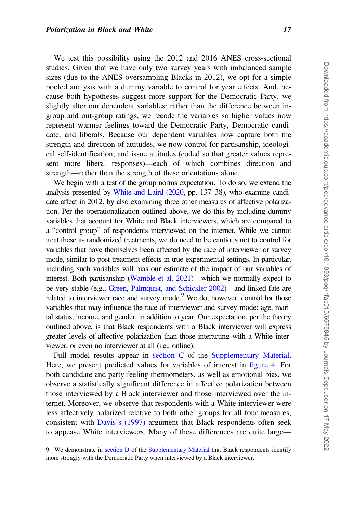We test this possibility using the 2012 and 2016 ANES cross-sectional studies. Given that we have only two survey years with imbalanced sample sizes (due to the ANES oversampling Blacks in 2012), we opt for a simple pooled analysis with a dummy variable to control for year effects. And, because both hypotheses suggest more support for the Democratic Party, we slightly alter our dependent variables: rather than the difference between ingroup and out-group ratings, we recode the variables so higher values now represent warmer feelings toward the Democratic Party, Democratic candidate, and liberals. Because our dependent variables now capture both the strength and direction of attitudes, we now control for partisanship, ideological self-identification, and issue attitudes (coded so that greater values represent more liberal responses)—each of which combines direction and strength—rather than the strength of these orientations alone.

We begin with a test of the group norms expectation. To do so, we extend the analysis presented by [White and Laird \(2020,](#page-23-0) pp. 137–38), who examine candidate affect in 2012, by also examining three other measures of affective polarization. Per the operationalization outlined above, we do this by including dummy variables that account for White and Black interviewers, which are compared to a "control group" of respondents interviewed on the internet. While we cannot treat these as randomized treatments, we do need to be cautious not to control for variables that have themselves been affected by the race of interviewer or survey mode, similar to post-treatment effects in true experimental settings. In particular, including such variables will bias our estimate of the impact of our variables of interest. Both partisanship [\(Wamble et al. 2021](#page-23-0))—which we normally expect to be very stable (e.g., [Green, Palmquist, and Schickler 2002](#page-21-0))—and linked fate are related to interviewer race and survey mode.<sup>9</sup> We do, however, control for those variables that may influence the race of interviewer and survey mode: age, marital status, income, and gender, in addition to year. Our expectation, per the theory outlined above, is that Black respondents with a Black interviewer will express greater levels of affective polarization than those interacting with a White interviewer, or even no interviewer at all (i.e., online).

Full model results appear in [section C](https://academic.oup.com/poq/article-lookup/doi/10.1093/poq/nfac010#supplementary-data) of the [Supplementary Material](https://academic.oup.com/poq/article-lookup/doi/10.1093/poq/nfac010#supplementary-data). Here, we present predicted values for variables of interest in [figure 4.](#page-17-0) For both candidate and party feeling thermometers, as well as emotional bias, we observe a statistically significant difference in affective polarization between those interviewed by a Black interviewer and those interviewed over the internet. Moreover, we observe that respondents with a White interviewer were less affectively polarized relative to both other groups for all four measures, consistent with [Davis's \(1997\)](#page-21-0) argument that Black respondents often seek to appease White interviewers. Many of these differences are quite large—

9. We demonstrate in [section D](https://academic.oup.com/poq/article-lookup/doi/10.1093/poq/nfac010#supplementary-data) of the [Supplementary Material](https://academic.oup.com/poq/article-lookup/doi/10.1093/poq/nfac010#supplementary-data) that Black respondents identify more strongly with the Democratic Party when interviewed by a Black interviewer.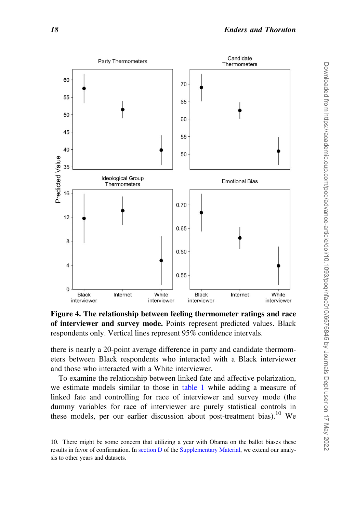<span id="page-17-0"></span>

Figure 4. The relationship between feeling thermometer ratings and race of interviewer and survey mode. Points represent predicted values. Black respondents only. Vertical lines represent 95% confidence intervals.

there is nearly a 20-point average difference in party and candidate thermometers between Black respondents who interacted with a Black interviewer and those who interacted with a White interviewer.

To examine the relationship between linked fate and affective polarization, we estimate models similar to those in [table 1](#page-13-0) while adding a measure of linked fate and controlling for race of interviewer and survey mode (the dummy variables for race of interviewer are purely statistical controls in these models, per our earlier discussion about post-treatment bias).<sup>10</sup> We

<sup>10.</sup> There might be some concern that utilizing a year with Obama on the ballot biases these results in favor of confirmation. In [section D](https://academic.oup.com/poq/article-lookup/doi/10.1093/poq/nfac010#supplementary-data) of the [Supplementary Material,](https://academic.oup.com/poq/article-lookup/doi/10.1093/poq/nfac010#supplementary-data) we extend our analysis to other years and datasets.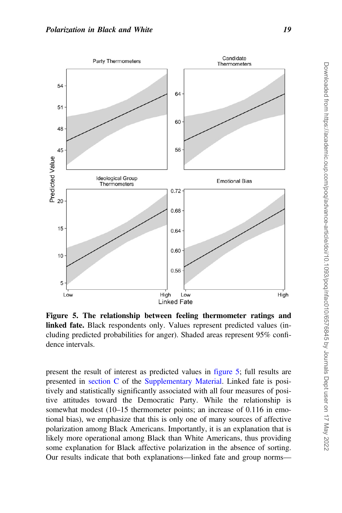

Figure 5. The relationship between feeling thermometer ratings and linked fate. Black respondents only. Values represent predicted values (including predicted probabilities for anger). Shaded areas represent 95% confidence intervals.

present the result of interest as predicted values in figure 5; full results are presented in [section C](https://academic.oup.com/poq/article-lookup/doi/10.1093/poq/nfac010#supplementary-data) of the [Supplementary Material](https://academic.oup.com/poq/article-lookup/doi/10.1093/poq/nfac010#supplementary-data). Linked fate is positively and statistically significantly associated with all four measures of positive attitudes toward the Democratic Party. While the relationship is somewhat modest (10–15 thermometer points; an increase of 0.116 in emotional bias), we emphasize that this is only one of many sources of affective polarization among Black Americans. Importantly, it is an explanation that is likely more operational among Black than White Americans, thus providing some explanation for Black affective polarization in the absence of sorting. Our results indicate that both explanations—linked fate and group norms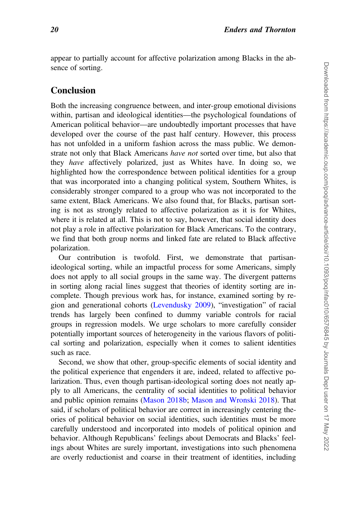appear to partially account for affective polarization among Blacks in the absence of sorting.

# **Conclusion**

Both the increasing congruence between, and inter-group emotional divisions within, partisan and ideological identities—the psychological foundations of American political behavior—are undoubtedly important processes that have developed over the course of the past half century. However, this process has not unfolded in a uniform fashion across the mass public. We demonstrate not only that Black Americans have not sorted over time, but also that they have affectively polarized, just as Whites have. In doing so, we highlighted how the correspondence between political identities for a group that was incorporated into a changing political system, Southern Whites, is considerably stronger compared to a group who was not incorporated to the same extent, Black Americans. We also found that, for Blacks, partisan sorting is not as strongly related to affective polarization as it is for Whites, where it is related at all. This is not to say, however, that social identity does not play a role in affective polarization for Black Americans. To the contrary, we find that both group norms and linked fate are related to Black affective polarization.

Our contribution is twofold. First, we demonstrate that partisanideological sorting, while an impactful process for some Americans, simply does not apply to all social groups in the same way. The divergent patterns in sorting along racial lines suggest that theories of identity sorting are incomplete. Though previous work has, for instance, examined sorting by region and generational cohorts [\(Levendusky 2009](#page-22-0)), "investigation" of racial trends has largely been confined to dummy variable controls for racial groups in regression models. We urge scholars to more carefully consider potentially important sources of heterogeneity in the various flavors of political sorting and polarization, especially when it comes to salient identities such as race.

Second, we show that other, group-specific elements of social identity and the political experience that engenders it are, indeed, related to affective polarization. Thus, even though partisan-ideological sorting does not neatly apply to all Americans, the centrality of social identities to political behavior and public opinion remains ([Mason 2018b](#page-22-0); [Mason and Wronski 2018\)](#page-22-0). That said, if scholars of political behavior are correct in increasingly centering theories of political behavior on social identities, such identities must be more carefully understood and incorporated into models of political opinion and behavior. Although Republicans' feelings about Democrats and Blacks' feelings about Whites are surely important, investigations into such phenomena are overly reductionist and coarse in their treatment of identities, including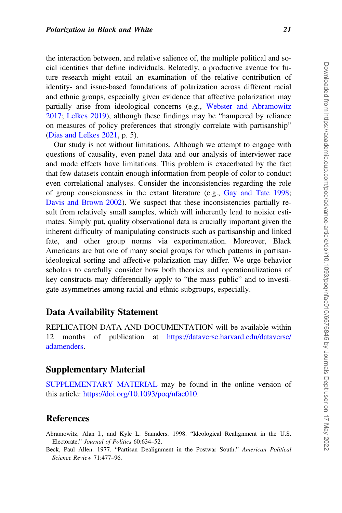<span id="page-20-0"></span>the interaction between, and relative salience of, the multiple political and social identities that define individuals. Relatedly, a productive avenue for future research might entail an examination of the relative contribution of identity- and issue-based foundations of polarization across different racial and ethnic groups, especially given evidence that affective polarization may partially arise from ideological concerns (e.g., [Webster and Abramowitz](#page-23-0) [2017](#page-23-0); [Lelkes 2019](#page-22-0)), although these findings may be "hampered by reliance on measures of policy preferences that strongly correlate with partisanship" [\(Dias and Lelkes 2021,](#page-21-0) p. 5).

Our study is not without limitations. Although we attempt to engage with questions of causality, even panel data and our analysis of interviewer race and mode effects have limitations. This problem is exacerbated by the fact that few datasets contain enough information from people of color to conduct even correlational analyses. Consider the inconsistencies regarding the role of group consciousness in the extant literature (e.g., [Gay and Tate 1998](#page-21-0); [Davis and Brown 2002](#page-21-0)). We suspect that these inconsistencies partially result from relatively small samples, which will inherently lead to noisier estimates. Simply put, quality observational data is crucially important given the inherent difficulty of manipulating constructs such as partisanship and linked fate, and other group norms via experimentation. Moreover, Black Americans are but one of many social groups for which patterns in partisanideological sorting and affective polarization may differ. We urge behavior scholars to carefully consider how both theories and operationalizations of key constructs may differentially apply to "the mass public" and to investigate asymmetries among racial and ethnic subgroups, especially.

## Data Availability Statement

REPLICATION DATA AND DOCUMENTATION will be available within 12 months of publication at [https://dataverse.harvard.edu/dataverse/](https://dataverse.harvard.edu/dataverse/adamenders) [adamenders](https://dataverse.harvard.edu/dataverse/adamenders).

## Supplementary Material

[SUPPLEMENTARY MATERIAL](https://academic.oup.com/poq/article-lookup/doi/10.1093/poq/nfac010#supplementary-data) may be found in the online version of this article: [https://doi.org/10.1093/poq/nfac010.](https://doi.org/10.1093/poq/nfac010)

## **References**

Abramowitz, Alan I., and Kyle L. Saunders. 1998. "Ideological Realignment in the U.S. Electorate." Journal of Politics 60:634–52.

Beck, Paul Allen. 1977. "Partisan Dealignment in the Postwar South." American Political Science Review 71:477–96.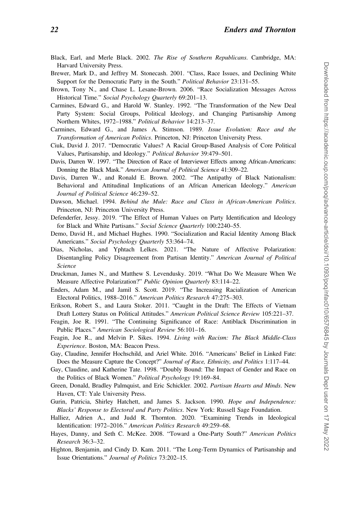- <span id="page-21-0"></span>Black, Earl, and Merle Black. 2002. The Rise of Southern Republicans. Cambridge, MA: Harvard University Press.
- Brewer, Mark D., and Jeffrey M. Stonecash. 2001. "Class, Race Issues, and Declining White Support for the Democratic Party in the South." Political Behavior 23:131–55.
- Brown, Tony N., and Chase L. Lesane-Brown. 2006. "Race Socialization Messages Across Historical Time." Social Psychology Quarterly 69:201–13.
- Carmines, Edward G., and Harold W. Stanley. 1992. "The Transformation of the New Deal Party System: Social Groups, Political Ideology, and Changing Partisanship Among Northern Whites, 1972–1988." Political Behavior 14:213–37.
- Carmines, Edward G., and James A. Stimson. 1989. Issue Evolution: Race and the Transformation of American Politics. Princeton, NJ: Princeton University Press.
- Ciuk, David J. 2017. "Democratic Values? A Racial Group-Based Analysis of Core Political Values, Partisanship, and Ideology." Political Behavior 39:479–501.
- Davis, Darren W. 1997. "The Direction of Race of Interviewer Effects among African-Americans: Donning the Black Mask." American Journal of Political Science 41:309–22.
- Davis, Darren W., and Ronald E. Brown. 2002. "The Antipathy of Black Nationalism: Behavioral and Attitudinal Implications of an African American Ideology." American Journal of Political Science 46:239–52.
- Dawson, Michael. 1994. Behind the Mule: Race and Class in African-American Politics. Princeton, NJ: Princeton University Press.
- Defenderfer, Jessy. 2019. "The Effect of Human Values on Party Identification and Ideology for Black and White Partisans." Social Science Quarterly 100:2240-55.
- Demo, David H., and Michael Hughes. 1990. "Socialization and Racial Identity Among Black Americans." Social Psychology Quarterly 53:364-74.
- Dias, Nicholas, and Yphtach Lelkes. 2021. "The Nature of Affective Polarization: Disentangling Policy Disagreement from Partisan Identity." American Journal of Political Science
- Druckman, James N., and Matthew S. Levendusky. 2019. "What Do We Measure When We Measure Affective Polarization?" Public Opinion Quarterly 83:114–22.
- Enders, Adam M., and Jamil S. Scott. 2019. "The Increasing Racialization of American Electoral Politics, 1988–2016." American Politics Research 47:275–303.
- Erikson, Robert S., and Laura Stoker. 2011. "Caught in the Draft: The Effects of Vietnam Draft Lottery Status on Political Attitudes." American Political Science Review 105:221–37.
- Feagin, Joe R. 1991. "The Continuing Significance of Race: Antiblack Discrimination in Public Places." American Sociological Review 56:101–16.
- Feagin, Joe R., and Melvin P. Sikes. 1994. Living with Racism: The Black Middle-Class Experience. Boston, MA: Beacon Press.
- Gay, Claudine, Jennifer Hochschild, and Ariel White. 2016. "Americans' Belief in Linked Fate: Does the Measure Capture the Concept?" Journal of Race, Ethnicity, and Politics 1:117-44.
- Gay, Claudine, and Katherine Tate. 1998. "Doubly Bound: The Impact of Gender and Race on the Politics of Black Women." Political Psychology 19:169-84.
- Green, Donald, Bradley Palmquist, and Eric Schickler. 2002. Partisan Hearts and Minds. New Haven, CT: Yale University Press.
- Gurin, Patricia, Shirley Hatchett, and James S. Jackson. 1990. Hope and Independence: Blacks' Response to Electoral and Party Politics. New York: Russell Sage Foundation.
- Halliez, Adrien A., and Judd R. Thornton. 2020. "Examining Trends in Ideological Identification: 1972–2016." American Politics Research 49:259–68.
- Hayes, Danny, and Seth C. McKee. 2008. "Toward a One-Party South?" American Politics Research 36:3–32.
- Highton, Benjamin, and Cindy D. Kam. 2011. "The Long-Term Dynamics of Partisanship and Issue Orientations." Journal of Politics 73:202–15.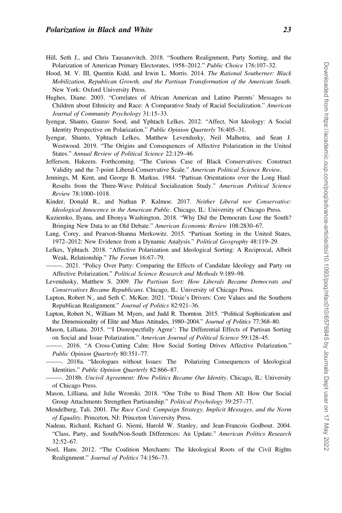- <span id="page-22-0"></span>Hill, Seth J., and Chris Tausanovitch. 2018. "Southern Realignment, Party Sorting, and the Polarization of American Primary Electorates, 1958–2012." Public Choice 176:107–32.
- Hood, M. V. III, Quentin Kidd, and Irwin L. Morris. 2014. The Rational Southerner: Black Mobilization, Republican Growth, and the Partisan Transformation of the American South. New York: Oxford University Press.
- Hughes, Diane. 2003. "Correlates of African American and Latino Parents' Messages to Children about Ethnicity and Race: A Comparative Study of Racial Socialization." American Journal of Community Psychology 31:15–33.
- Iyengar, Shanto, Gaurav Sood, and Yphtach Lelkes. 2012. "Affect, Not Ideology: A Social Identity Perspective on Polarization." Public Opinion Quarterly 76:405–31.
- Iyengar, Shanto, Yphtach Lelkes, Matthew Levendusky, Neil Malhotra, and Sean J. Westwood. 2019. "The Origins and Consequences of Affective Polarization in the United States." Annual Review of Political Science 22:129–46.
- Jefferson, Hakeem. Forthcoming. "The Curious Case of Black Conservatives: Construct Validity and the 7-point Liberal-Conservative Scale." American Political Science Review.
- Jennings, M. Kent, and George B. Markus. 1984. "Partisan Orientations over the Long Haul: Results from the Three-Wave Political Socialization Study." American Political Science Review 78:1000–1018.
- Kinder, Donald R., and Nathan P. Kalmoe. 2017. Neither Liberal nor Conservative: Ideological Innocence in the American Public. Chicago, IL: University of Chicago Press.
- Kuziemko, Ilyana, and Ebonya Washington. 2018. "Why Did the Democrats Lose the South? Bringing New Data to an Old Debate." American Economic Review 108:2830–67.
- Lang, Corey, and Pearson-Shanna Merkowitz. 2015. "Partisan Sorting in the United States, 1972–2012: New Evidence from a Dynamic Analysis." Political Geography 48:119–29.
- Lelkes, Yphtach. 2018. "Affective Polarization and Ideological Sorting: A Reciprocal, Albeit Weak, Relationship." The Forum 16:67–79.
- —–—. 2021. "Policy Over Party: Comparing the Effects of Candidate Ideology and Party on Affective Polarization." Political Science Research and Methods 9:189–98.
- Levendusky, Matthew S. 2009. The Partisan Sort: How Liberals Became Democrats and Conservatives Became Republicans. Chicago, IL: University of Chicago Press.
- Lupton, Robert N., and Seth C. McKee. 2021. "Dixie's Drivers: Core Values and the Southern Republican Realignment." Journal of Politics 82:921–36.
- Lupton, Robert N., William M. Myers, and Judd R. Thornton. 2015. "Political Sophistication and the Dimensionality of Elite and Mass Attitudes, 1980-2004." Journal of Politics 77:368-80.
- Mason, Lilliana. 2015. "'I Disrespectfully Agree': The Differential Effects of Partisan Sorting on Social and Issue Polarization." American Journal of Political Science 59:128–45.
- —–—. 2016. "A Cross-Cutting Calm: How Social Sorting Drives Affective Polarization." Public Opinion Quarterly 80:351–77.
- —–—. 2018a. "Ideologues without Issues: The Polarizing Consequences of Ideological Identities." Public Opinion Quarterly 82:866–87.
- —–—. 2018b. Uncivil Agreement: How Politics Became Our Identity. Chicago, IL: University of Chicago Press.
- Mason, Lilliana, and Julie Wronski. 2018. "One Tribe to Bind Them All: How Our Social Group Attachments Strengthen Partisanship." Political Psychology 39:257–77.
- Mendelberg, Tali. 2001. The Race Card: Campaign Strategy, Implicit Messages, and the Norm of Equality. Princeton, NJ: Princeton University Press.
- Nadeau, Richard, Richard G. Niemi, Harold W. Stanley, and Jean-Francois Godbout. 2004. "Class, Party, and South/Non-South Differences: An Update." American Politics Research 32:52–67.
- Noel, Hans. 2012. "The Coalition Merchants: The Ideological Roots of the Civil Rights Realignment." Journal of Politics 74:156–73.